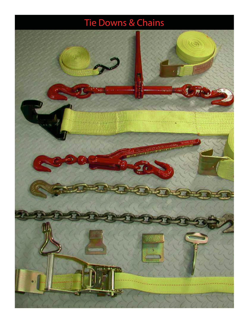## Tie Downs & Chains

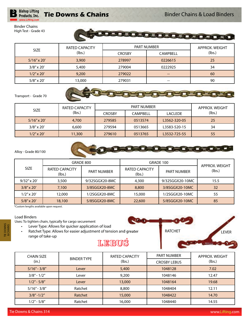### **Tie Downs & Chains**

**DE DE** 

□ ▬

Binder Chains High Test - Grade 43

**Bishop Lifting** Products, Inc. www.Lifting.com

|                    | <b>RATED CAPACITY</b> |               | <b>PART NUMBER</b> | APPROX, WEIGHT |
|--------------------|-----------------------|---------------|--------------------|----------------|
| <b>SIZE</b>        | (lbs.)                | <b>CROSBY</b> | <b>CAMPBELL</b>    | (lbs.)         |
| $5/16''$ x 20'     | 3,900                 | 278997        | 0226615            | 25             |
| $3/8'' \times 20'$ | 5,400                 | 279004        | 0222925            | 34             |
| $1/2''$ x 20'      | 9,200                 | 279022        | --                 | 60             |
| $5/8''$ x 20'      | 13,000                | 279031        | --                 | 90             |

EGE

**DEDEE** 

Ξ

#### Transport - Grade 70

| <b>SIZE</b>        | <b>RATED CAPACITY</b> |               | APPROX. WEIGHT |                |        |
|--------------------|-----------------------|---------------|----------------|----------------|--------|
|                    | (lbs.)                | <b>CROSBY</b> | CAMPBELL       | <b>LACLEDE</b> | (lbs.) |
| $5/16''$ x 20'     | 4,700                 | 279585        | 0513574        | L3562-320-05   | 25     |
| $3/8'' \times 20'$ | 6,600                 | 279594        | 0513665        | L3583-520-15   | 34     |
| $1/2''$ x 20'      | 11,300                | 279610        | 0513765        | L3532-725-55   | 55     |





|                    |                                 | GRADE 800          |                          | GRADE 100          | APPROX, WEIGHT |
|--------------------|---------------------------------|--------------------|--------------------------|--------------------|----------------|
| <b>SIZE</b>        | <b>RATED CAPACITY</b><br>(lbs.) | <b>PART NUMBER</b> | RATED CAPACITY<br>(lbs.) | <b>PART NUMBER</b> | (lbs.)         |
| $9/32''$ x 20'     | 3,500                           | 9/32SGGX20-8MC     | 4,300                    | 9/32SGGX20-10MC    | 15.5           |
| $3/8'' \times 20'$ | 7.100                           | 3/8SGGX20-8MC      | 8,800                    | 3/8SGGX20-10MC     | 32             |
| $1/2''$ x 20'      | 12,000                          | 1/2SGGX20-8MC      | 15,000                   | 1/2SGGX20-10MC     | 55             |
| $5/8'' \times 20'$ | 18,100                          | 5/8SGGX20-8MC      | 22,600                   | 5/8SGGX20-10MC     | 85             |

\*Custom lengths available upon request.

#### Load Binders

TIE DOWNS & CHAINS Uses: To tighten chain, typically for cargo securement

- Lever Type: Allows for quicker application of load
- Ratchet Type: Allows for easier adjustment of tension and greater range of take-up



| <b>CHAIN SIZE</b> | <b>BINDER TYPE</b> | <b>RATED CAPACITY</b> | <b>PART NUMBER</b>  | APPROX, WEIGHT |
|-------------------|--------------------|-----------------------|---------------------|----------------|
| (in.)             |                    | (lbs.)                | <b>CROSBY LEBUS</b> | (lbs.)         |
| $5/16" - 3/8"$    | Lever              | 5,400                 | 1048128             | 7.02           |
| $3/8" - 1/2"$     | Lever              | 9,200                 | 1048146             | 12.47          |
| $1/2" - 5/8"$     | Lever              | 13,000                | 1048164             | 19.68          |
| $5/16" - 3/8"$    | Ratchet            | 8,800                 | 1048404             | 12.11          |
| $3/8" - 1/2"$     | Ratchet            | 15,000                | 1048422             | 14.70          |
| $1/2" - 5/8"$     | Ratchet            | 16,000                | 1048440             | 14.55          |

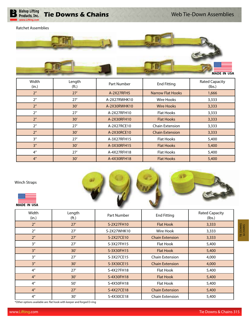

Ratchet Assemblies



| Width<br>(in.)     | Length<br>(ft.) | Part Number  | <b>End Fitting</b>       | <b>Rated Capacity</b><br>(lbs.) |
|--------------------|-----------------|--------------|--------------------------|---------------------------------|
| 2 <sup>n</sup>     | 27'             | A-2X27RFH5   | <b>Narrow Flat Hooks</b> | 1,666                           |
| 2 <sup>n</sup>     | 27'             | A-2X27RWHK10 | Wire Hooks               | 3,333                           |
| 2 <sup>n</sup>     | 30'             | A-2X30RWHK10 | <b>Wire Hooks</b>        | 3,333                           |
| 2 <sup>n</sup>     | 27'             | A-2X27RFH10  | <b>Flat Hooks</b>        | 3,333                           |
| 2 <sup>n</sup>     | 30'             | A-2X30RFH10  | <b>Flat Hooks</b>        | 3,333                           |
| 2 <sup>n</sup>     | 27'             | A-2X27RCE10  | Chain Extension          | 3,333                           |
| 2 <sup>n</sup>     | 30'             | A-2X30RCE10  | <b>Chain Extension</b>   | 3,333                           |
| 3''                | 27'             | A-3X27RFH15  | <b>Flat Hooks</b>        | 5,400                           |
| 3''                | 30'             | A-3X30RFH15  | <b>Flat Hooks</b>        | 5,400                           |
| $4^{\prime\prime}$ | 27'             | A-4X27RFH18  | <b>Flat Hooks</b>        | 5,400                           |
| 4 <sup>''</sup>    | 30'             | A-4X30RFH18  | <b>Flat Hooks</b>        | 5,400                           |

Winch Straps





| Width<br>(in.)  | Length<br>(f <sub>t</sub> ) | Part Number | <b>End Fitting</b>     | <b>Rated Capacity</b><br>(lbs.) |
|-----------------|-----------------------------|-------------|------------------------|---------------------------------|
| 2 <sup>n</sup>  | 27'                         | S-2X27FH10  | <b>Flat Hook</b>       | 3,333                           |
| 2 <sup>n</sup>  | 27'                         | S-2X27WHK10 | Wire Hook              | 3,333                           |
| 2 <sup>n</sup>  | 27'                         | S-2X27CE10  | <b>Chain Extension</b> | 3,333                           |
| 3''             | 27'                         | S-3X27FH15  | Flat Hook              | 5,400                           |
| 3''             | 30'                         | S-3X30FH15  | <b>Flat Hook</b>       | 5,400                           |
| 3''             | 27'                         | S-3X27CE15  | Chain Extension        | 4,000                           |
| 3''             | 30'                         | S-3X30CE15  | <b>Chain Extension</b> | 4,000                           |
| 4 <sup>''</sup> | 27'                         | S-4X27FH18  | Flat Hook              | 5,400                           |
| 4 <sup>''</sup> | 30'                         | S-4X30FH18  | <b>Flat Hook</b>       | 5,400                           |
| 4 <sup>''</sup> | 50'                         | S-4X50FH18  | Flat Hook              | 5,400                           |
| 4 <sup>''</sup> | 27'                         | S-4X27CE18  | <b>Chain Extension</b> | 5,400                           |
| 4 <sup>''</sup> | 30'                         | S-4X30CE18  | <b>Chain Extension</b> | 5,400                           |

\*Other options available are: flat hook with keeper and forged D-ring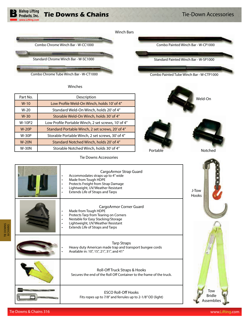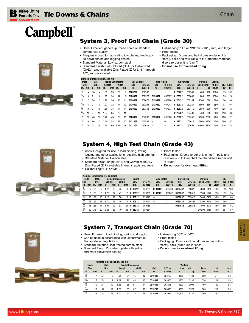

## **Campbell**®

J

#### System 3, Proof Coil Chain (Grade 30)

- Uses: Excellent general-purpose chain of standard commercial quality
- Frequently used for fabricating tow chains, binding or tie down chains and logging chains
- Standard Material: Low carbon steel
- Standard Finish: Self Colored (S.C.) or Galvanized (GALV); also available Zinc Plated (Z.P.) 3/16" through 1/2"; and polycoated
- Hallmarking: "C3" or "M3" on 5/16" (8mm) and larger • Proof tested
- Packaging: Drums and half drums (order unit is "feet"), pails and refill reels to fit Campbell merchandisers (order unit is "each")
- **Do not use for overhead lifting**

|                |                 |     |      |        | Nominal Dimensions (in. and mm) |       |    |                          |         |                          |         |            |         |                   |      |         |      |        |
|----------------|-----------------|-----|------|--------|---------------------------------|-------|----|--------------------------|---------|--------------------------|---------|------------|---------|-------------------|------|---------|------|--------|
|                | <b>Trade</b>    |     | Mat. |        | <b>Inside Dimensions</b>        |       |    | <b>Self Colored</b>      |         | <b>Zinc Plated</b>       |         | Galvanized |         | Working           |      | Lenath/ |      |        |
|                | <b>Size</b>     |     | Dia. | Lenath |                                 | Width |    | Cat.                     | UPC No. | Cat.                     | UPC No. | Cat.       | UPC No. | <b>Load Limit</b> |      | ft. per | Lb/  | Links/ |
| in.            | mm              | in. | mm   | in.    | mm                              | in.   | mm | No.                      | 020418  | No.                      | 020418  | No.        | 020418  | -lb               | ka   | drum    | 100' | ft.    |
| ⅛              | 4               | .16 | 4    | .89    | 23                              | .29   | 7  | 0120202                  | 056932  | $\sim$                   |         | 0120232    | 056949  | 400               | 180  | 1000    | 19   | 13.5   |
| $\frac{3}{16}$ | 6               | .21 | 6    | .95    | 24                              | .34   | g  | 0120302                  | 056970  | 0120322                  | 057007  | 0120332    | 057045  | 800               | 365  | 1000    | 35   | 12.6   |
| $\frac{1}{4}$  |                 | .26 |      | 1.20   | 30                              | .45   | 11 | 0120402                  | 057076  | 0120422                  | 057106  | 0120432    | 057144  | 1300              | 580  | 800     | 56   | 10.0   |
| $\frac{5}{16}$ | 8               | .31 | 8    | 1.27   | 32                              | .47   | 12 | 0120502                  | 057205  | 0120522                  | 057243  | 0120532    | 057281  | 1900              | 860  | 550     | 83   | 9.4    |
| $\frac{3}{8}$  | 10 <sup>1</sup> | .37 | 10   | 1.36   | 35                              | .57   | 14 | 0120602                  | 057335  | 0120622                  | 057373  | 0120632    | 057410  | 2650              | 1200 | 400     | 125  | 8.8    |
| 1/16           | 12              | .47 | 12   | 1.37   | 35                              | .75   | 19 | $\overline{\phantom{a}}$ |         |                          |         | 0120732    | 057489  | 3700              | 1680 | 300     | 210  | 8.8    |
| ℅              | 13              | .48 | 13   | 1.70   | 43                              | .75   | 19 | 0120802                  | 057502  | 0120822                  | 057526  | 0120832    | 057557  | 4500              | 2030 | 200     | 238  | 7.1    |
| $\frac{5}{8}$  | 16              | .66 | 17   | 2.10   | 53                              | .87   | 22 | 0121002                  | 057595  | $\overline{\phantom{a}}$ |         | 0121032    | 057618  | 6900              | 3130 | 150     | 390  | 5.7    |
| $\frac{3}{4}$  | 20              | .78 | 20   | 2.70   | 69                              | 1.02  | 26 | 0121202                  | 057632  | $\overline{\phantom{a}}$ |         | 0121232    | 057656  | 10.600            | 4800 | 100     | 536  | 4.4    |

#### System 4, High Test Chain (Grade 43)

- Uses: Designed for use in load binding, towing,
- logging and other applications requiring high strength Standard Material: Carbon steel
- 
- Standard Finish: Bright (BRT) and Galvanized(GALV); Zinc Plated (Z.P.) available in drums, pails and reels • Hallmarking: "C4" or "M4"
- Proof tested
- Packaging: Drums (order unit is "feet"), pails and refill reels to fit Campbell merchandisers (order unit is "each")
- **Do not use for overhead lifting**

| Size           | <b>Trade</b> | Nominal Dimensions (in. and mm)<br>Mat.<br>Dia.<br>in.<br>mm<br>mm |    | <b>Inside Dimensions</b><br>Width<br>Lenath |    |      | <b>Bright</b><br>Cat. | UPC No. | <b>Zinc Plated</b><br>Cat. | UPC No. | Galvanized<br>Cat. | UPC No. | Working<br><b>Load Limit</b> |        | Feet/ | Lb/<br>100  | Links/ |      |
|----------------|--------------|--------------------------------------------------------------------|----|---------------------------------------------|----|------|-----------------------|---------|----------------------------|---------|--------------------|---------|------------------------------|--------|-------|-------------|--------|------|
| in.            |              |                                                                    |    | in.                                         | mm | in.  | mm                    | No.     | 020418                     | No.     | 020418             | No.     | 020418                       | Ib     | kq    | <b>Drum</b> | ft.    | ft.  |
| ¼              |              | .28                                                                |    | .20                                         | 30 | .45  | 11                    | 0180412 | 058769                     | 0180422 | 058790             | 0180432 | 058820                       | 2600   | 1180  | 800         | 63     | 10.0 |
| $\frac{5}{16}$ |              | .33<br>8                                                           | 8  | .27                                         | 32 | .47  | 12                    | 0180512 | 058851                     | 0180522 | 058882             | 0180532 | 058912                       | 3900   | 1770  | 550         | 95     | 9.4  |
| $\frac{3}{8}$  | 10           | .39                                                                | 10 | 1.15                                        | 29 | .58  | 15                    | 0180612 | 058943                     | --      | --                 | 0180632 | 059018                       | 5400   | 2450  | 400         | 155    | 10.4 |
| ℅              | 13           | .53                                                                | 13 | .70                                         | 43 | .75  | 19                    | 0180812 | 059094                     | --      | --                 | 0180832 | 059155                       | 9200   | 4170  | 200         | 260    | 7.1  |
| $\frac{5}{8}$  | 16           | .66                                                                | 17 | .94                                         | 49 | .93  | 24                    | 0181012 | 059186                     | --      | --                 | 0181032 | 059216                       | 13.000 | 5910  | 150         | 356    | 6.2  |
| $\frac{3}{4}$  | 20           | .78                                                                | 20 | 2.21                                        | 56 | 1.10 | 28                    | 0181212 | 059254                     | --      | --                 | --      | --                           | 20.200 | 9180  | 100         | 581    | 5.4  |

#### System 7, Transport Chain (Grade 70)

- Uses: For use in load binding, towing and logging • Can be used in accordance with Department of
- Transportation regulations
- Standard Material: Heat treated carbon steel • Standard Finish: Zinc electroplate with yellow
- chromate conversion coating
- Hallmarking: "C7" or "M7"
- Proof tested
- Packaging: Drums and half drums (order unit is "feet"), pails (order unit is "each")
- **Do not use for overhead lifting**
- **Nominal Dimensions (in. and mm) Trade Mat. Inside Dimensions Working Size Dia. Length Width Cat.** UPC No. **Load Limit Feet/ Lb/ Links/ in. mm in. mm in. mm in. mm No. 020418 lb kg Drum 100 ft. ft.**  $\frac{1}{4}$ ⁄4 7 .31 8 .94 24 .46 12 **0510412** 063763 3150 1430 800 94 12.8  $\frac{5}{16}$ ⁄16 8 .34 9 1.01 26 .48 12 **0510512** 063800 4700 2130 550 111 11.9  $\frac{3}{8}$ ⁄8 10 .41 10 1.36 35 .57 14 **0510612** 063848 6600 2990 400 150 8.8  $\frac{7}{6}$ ⁄16 12 .47 12 1.29 33 .67 17 **0510712** 063886 8750 3970 300 212 9.3  $\frac{1}{2}$ ⁄2 13 .53 13 1.70 43 .75 19 **0510812** 063916 11,300 5130 200 260 7.1